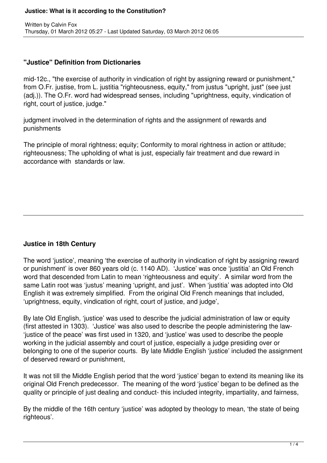### **"Justice" Definition from Dictionaries**

mid-12c., "the exercise of authority in vindication of right by assigning reward or punishment," from O.Fr. justise, from L. justitia "righteousness, equity," from justus "upright, just" (see just (adj.)). The O.Fr. word had widespread senses, including "uprightness, equity, vindication of right, court of justice, judge."

judgment involved in the determination of rights and the assignment of rewards and punishments

The principle of moral rightness; equity; Conformity to moral rightness in action or attitude; righteousness; The upholding of what is just, especially fair treatment and due reward in accordance with standards or law.

# **Justice in 18th Century**

The word 'justice', meaning 'the exercise of authority in vindication of right by assigning reward or punishment' is over 860 years old (c. 1140 AD). 'Justice' was once 'justitia' an Old French word that descended from Latin to mean 'righteousness and equity'. A similar word from the same Latin root was 'justus' meaning 'upright, and just'. When 'justitia' was adopted into Old English it was extremely simplified. From the original Old French meanings that included, 'uprightness, equity, vindication of right, court of justice, and judge',

By late Old English, 'justice' was used to describe the judicial administration of law or equity (first attested in 1303). 'Justice' was also used to describe the people administering the law- 'justice of the peace' was first used in 1320, and 'justice' was used to describe the people working in the judicial assembly and court of justice, especially a judge presiding over or belonging to one of the superior courts. By late Middle English 'justice' included the assignment of deserved reward or punishment,

It was not till the Middle English period that the word 'justice' began to extend its meaning like its original Old French predecessor. The meaning of the word 'justice' began to be defined as the quality or principle of just dealing and conduct- this included integrity, impartiality, and fairness,

By the middle of the 16th century 'justice' was adopted by theology to mean, 'the state of being righteous'.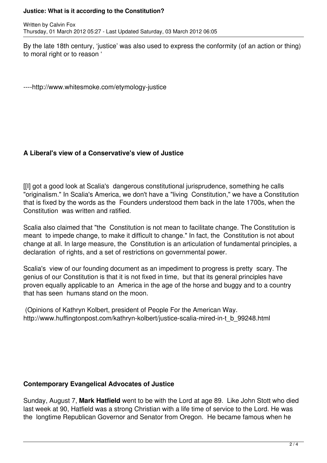By the late 18th century, 'justice' was also used to express the conformity (of an action or thing) to moral right or to reason '

----http://www.whitesmoke.com/etymology-justice

## **A Liberal's view of a Conservative's view of Justice**

[[I] got a good look at Scalia's dangerous constitutional jurisprudence, something he calls "originalism." In Scalia's America, we don't have a "living Constitution," we have a Constitution that is fixed by the words as the Founders understood them back in the late 1700s, when the Constitution was written and ratified.

Scalia also claimed that "the Constitution is not mean to facilitate change. The Constitution is meant to impede change, to make it difficult to change." In fact, the Constitution is not about change at all. In large measure, the Constitution is an articulation of fundamental principles, a declaration of rights, and a set of restrictions on governmental power.

Scalia's view of our founding document as an impediment to progress is pretty scary. The genius of our Constitution is that it is not fixed in time, but that its general principles have proven equally applicable to an America in the age of the horse and buggy and to a country that has seen humans stand on the moon.

 (Opinions of Kathryn Kolbert, president of People For the American Way. http://www.huffingtonpost.com/kathryn-kolbert/justice-scalia-mired-in-t\_b\_99248.html

### **Contemporary Evangelical Advocates of Justice**

Sunday, August 7, **Mark Hatfield** went to be with the Lord at age 89. Like John Stott who died last week at 90, Hatfield was a strong Christian with a life time of service to the Lord. He was the longtime Republican Governor and Senator from Oregon. He became famous when he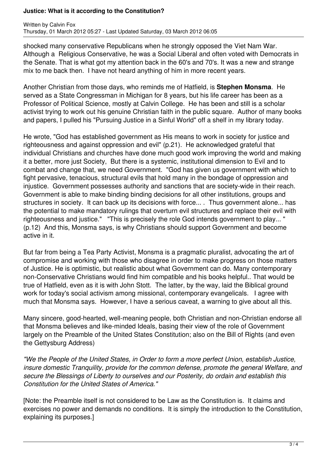shocked many conservative Republicans when he strongly opposed the Viet Nam War. Although a Religious Conservative, he was a Social Liberal and often voted with Democrats in the Senate. That is what got my attention back in the 60's and 70's. It was a new and strange mix to me back then. I have not heard anything of him in more recent years.

Another Christian from those days, who reminds me of Hatfield, is **Stephen Monsma**. He served as a State Congressman in Michigan for 8 years, but his life career has been as a Professor of Political Science, mostly at Calvin College. He has been and still is a scholar activist trying to work out his genuine Christian faith in the public square. Author of many books and papers, I pulled his "Pursuing Justice in a Sinful World" off a shelf in my library today.

He wrote, "God has established government as His means to work in society for justice and righteousness and against oppression and evil" (p.21). He acknowledged grateful that individual Christians and churches have done much good work improving the world and making it a better, more just Society, But there is a systemic, institutional dimension to Evil and to combat and change that, we need Government. "God has given us government with which to fight pervasive, tenacious, structural evils that hold many in the bondage of oppression and injustice. Government possesses authority and sanctions that are society-wide in their reach. Government is able to make binding binding decisions for all other institutions, groups and structures in society. It can back up its decisions with force... . Thus government alone... has the potential to make mandatory rulings that overturn evil structures and replace their evil with righteousness and justice." "This is precisely the role God intends government to play... " (p.12) And this, Monsma says, is why Christians should support Government and become active in it.

But far from being a Tea Party Activist, Monsma is a pragmatic pluralist, advocating the art of compromise and working with those who disagree in order to make progress on those matters of Justice. He is optimistic, but realistic about what Government can do. Many contemporary non-Conservative Christians would find him compatible and his books helpful.. That would be true of Hatfield, even as it is with John Stott. The latter, by the way, laid the Biblical ground work for today's social activism among missional, contemporary evangelicals. I agree with much that Monsma says. However, I have a serious caveat, a warning to give about all this.

Many sincere, good-hearted, well-meaning people, both Christian and non-Christian endorse all that Monsma believes and like-minded Ideals, basing their view of the role of Government largely on the Preamble of the United States Constitution; also on the Bill of Rights (and even the Gettysburg Address)

*"We the People of the United States, in Order to form a more perfect Union, establish Justice, insure domestic Tranquility, provide for the common defense, promote the general Welfare, and secure the Blessings of Liberty to ourselves and our Posterity, do ordain and establish this Constitution for the United States of America."*

[Note: the Preamble itself is not considered to be Law as the Constitution is. It claims and exercises no power and demands no conditions. It is simply the introduction to the Constitution, explaining its purposes.]